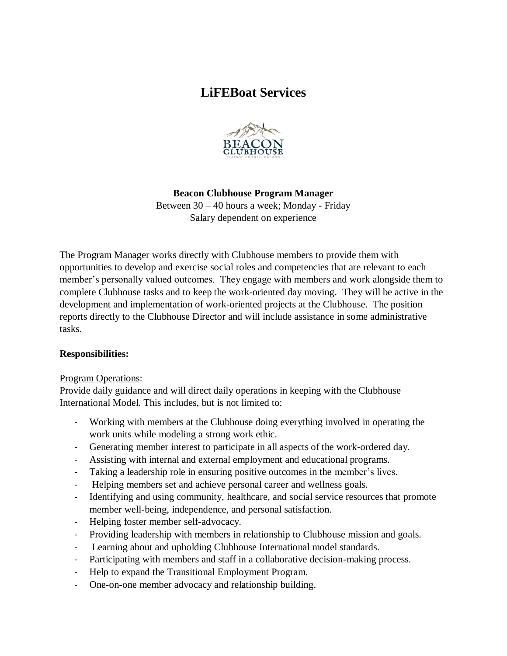# **LiFEBoat Services**



### **Beacon Clubhouse Program Manager**

Between 30 – 40 hours a week; Monday - Friday Salary dependent on experience

The Program Manager works directly with Clubhouse members to provide them with opportunities to develop and exercise social roles and competencies that are relevant to each member's personally valued outcomes. They engage with members and work alongside them to complete Clubhouse tasks and to keep the work-oriented day moving. They will be active in the development and implementation of work-oriented projects at the Clubhouse. The position reports directly to the Clubhouse Director and will include assistance in some administrative tasks.

#### **Responsibilities:**

#### Program Operations:

Provide daily guidance and will direct daily operations in keeping with the Clubhouse International Model. This includes, but is not limited to:

- Working with members at the Clubhouse doing everything involved in operating the work units while modeling a strong work ethic.
- Generating member interest to participate in all aspects of the work-ordered day.
- Assisting with internal and external employment and educational programs.
- Taking a leadership role in ensuring positive outcomes in the member's lives.
- Helping members set and achieve personal career and wellness goals.
- Identifying and using community, healthcare, and social service resources that promote member well-being, independence, and personal satisfaction.
- Helping foster member self-advocacy.
- Providing leadership with members in relationship to Clubhouse mission and goals.
- Learning about and upholding Clubhouse International model standards.
- Participating with members and staff in a collaborative decision-making process.
- Help to expand the Transitional Employment Program.
- One-on-one member advocacy and relationship building.